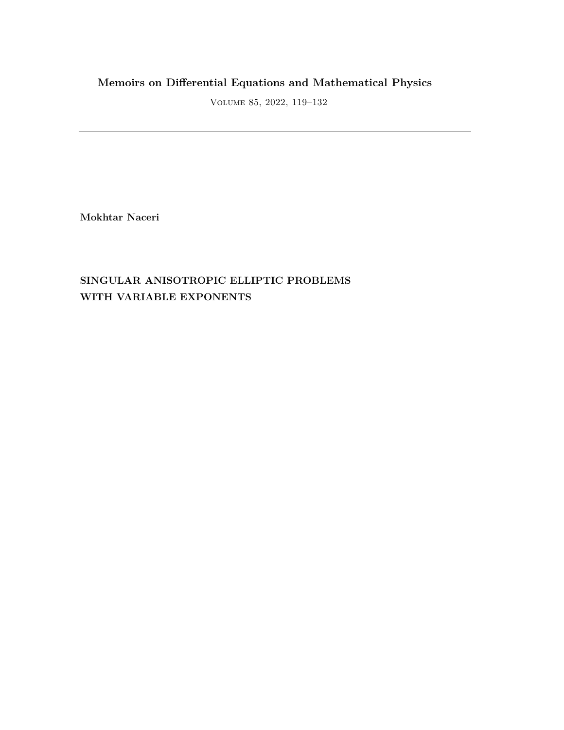# **Memoirs on Differential Equations and Mathematical Physics**

Volume 85, 2022, 119–132

**Mokhtar Naceri**

# **SINGULAR ANISOTROPIC ELLIPTIC PROBLEMS WITH VARIABLE EXPONENTS**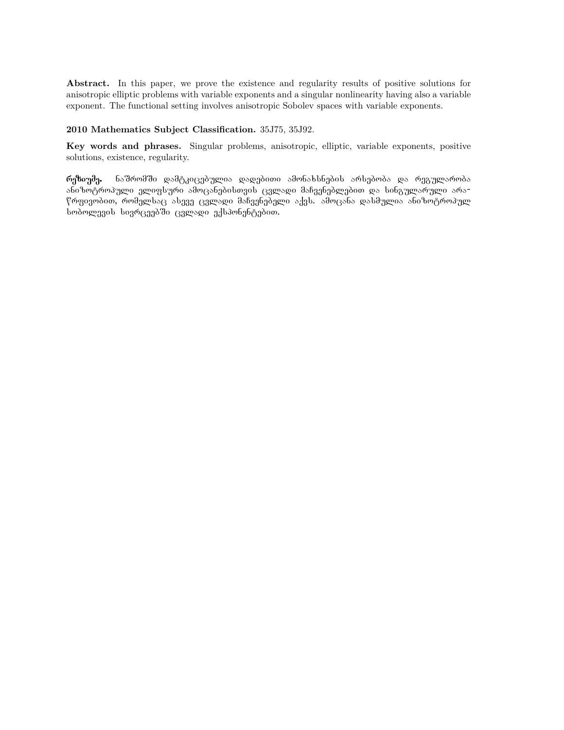Abstract. In this paper, we prove the existence and regularity results of positive solutions for anisotropic elliptic problems with variable exponents and a singular nonlinearity having also a variable exponent. The functional setting involves anisotropic Sobolev spaces with variable exponents.

#### **2010 Mathematics Subject Classification.** 35J75, 35J92.

**Key words and phrases.** Singular problems, anisotropic, elliptic, variable exponents, positive solutions, existence, regularity.

რეზიუმე. ნაშრომში დამტკიცებულია დადებითი ამონახსნების არსებობა და რეგულარობა ანიზოტროპული ელიფსური ამოცანებისთვის ცვლადი მაჩვენებლებით და სინგულარული არაწრფივობით, რომელსაც ასევე ცვლადი მაჩვენებელი აქვს. ამოცანა დასმულია ანიზოტროპულ სობოლევის სივრცეებში ცვლადი ექსპონენტებით.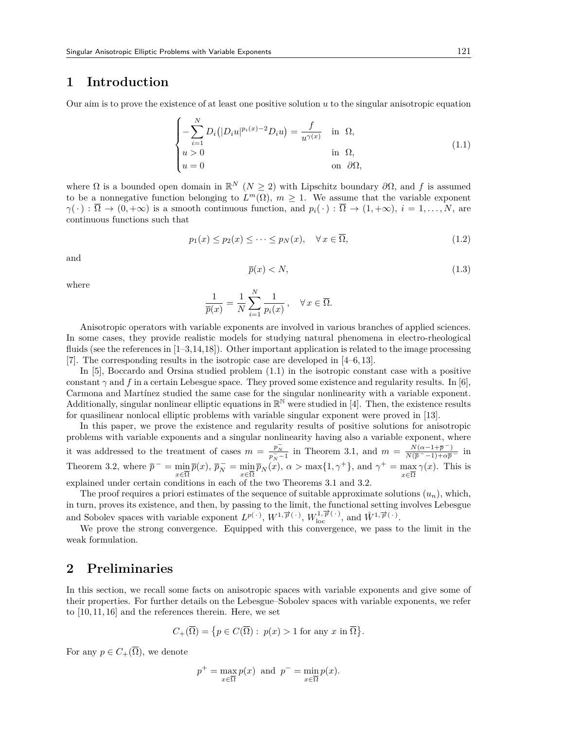## **1 Introduction**

Our aim is to prove the existence of at least one positive solution *u* to the singular anisotropic equation

$$
\begin{cases}\n-\sum_{i=1}^{N} D_i(|D_i u|^{p_i(x)-2} D_i u) = \frac{f}{u^{\gamma(x)}} & \text{in } \Omega, \\
u > 0 & \text{in } \Omega, \\
u = 0 & \text{on } \partial\Omega,\n\end{cases}
$$
\n(1.1)

where  $\Omega$  is a bounded open domain in  $\mathbb{R}^N$  ( $N \geq 2$ ) with Lipschitz boundary  $\partial \Omega$ , and f is assumed to be a nonnegative function belonging to  $L^m(\Omega)$ ,  $m \geq 1$ . We assume that the variable exponent  $\gamma(\cdot) : \overline{\Omega} \to (0, +\infty)$  is a smooth continuous function, and  $p_i(\cdot) : \overline{\Omega} \to (1, +\infty)$ ,  $i = 1, \ldots, N$ , are continuous functions such that

$$
p_1(x) \le p_2(x) \le \dots \le p_N(x), \quad \forall x \in \overline{\Omega},\tag{1.2}
$$

and

$$
\overline{p}(x) < N,\tag{1.3}
$$

where

$$
\frac{1}{\overline{p}(x)} = \frac{1}{N} \sum_{i=1}^{N} \frac{1}{p_i(x)}, \quad \forall x \in \overline{\Omega}.
$$

Anisotropic operators with variable exponents are involved in various branches of applied sciences. In some cases, they provide realistic models for studying natural phenomena in electro-rheological fluids (see the references in [1–3,14,18]). Other important application is related to the image processing [7]. The corresponding results in the isotropic case are developed in [4–6,13].

In [5], Boccardo and Orsina studied problem (1.1) in the isotropic constant case with a positive constant  $\gamma$  and f in a certain Lebesgue space. They proved some existence and regularity results. In [6], Carmona and Martínez studied the same case for the singular nonlinearity with a variable exponent. Additionally, singular nonlinear elliptic equations in  $\mathbb{R}^{\mathbb{N}}$  were studied in [4]. Then, the existence results for quasilinear nonlocal elliptic problems with variable singular exponent were proved in [13].

In this paper, we prove the existence and regularity results of positive solutions for anisotropic problems with variable exponents and a singular nonlinearity having also a variable exponent, where it was addressed to the treatment of cases  $m = \frac{p_N^-}{p_N^- - 1}$  in Theorem 3.1, and  $m = \frac{N(\alpha - 1 + \overline{p}^{-})}{N(\overline{p}^{-} - 1) + \alpha \overline{p}^{-}}$  in Theorem 3.2, where  $\overline{p}^- = \min_{x \in \overline{\Omega}} \overline{p}(x)$ ,  $\overline{p}_N^- = \min_{x \in \overline{\Omega}} \overline{p}_N(x)$ ,  $\alpha > \max\{1, \gamma^+\}\$ , and  $\gamma^+ = \max_{x \in \overline{\Omega}} \gamma(x)$ . This is explained under certain conditions in each of the two Theorems 3.1 and 3.2.

The proof requires a priori estimates of the sequence of suitable approximate solutions  $(u_n)$ , which, in turn, proves its existence, and then, by passing to the limit, the functional setting involves Lebesgue and Sobolev spaces with variable exponent  $L^{p(\cdot)}$ ,  $W^{1,\overrightarrow{p}(\cdot)}$ ,  $W^{1,\overrightarrow{p}(\cdot)}$ , and  $\mathring{W}^{1,\overrightarrow{p}(\cdot)}$ .

We prove the strong convergence. Equipped with this convergence, we pass to the limit in the weak formulation.

## **2 Preliminaries**

In this section, we recall some facts on anisotropic spaces with variable exponents and give some of their properties. For further details on the Lebesgue–Sobolev spaces with variable exponents, we refer to [10,11,16] and the references therein. Here, we set

$$
C_{+}(\overline{\Omega}) = \{ p \in C(\overline{\Omega}) : p(x) > 1 \text{ for any } x \text{ in } \overline{\Omega} \}.
$$

For any  $p \in C_+(\overline{\Omega})$ , we denote

$$
p^+ = \max_{x \in \overline{\Omega}} p(x)
$$
 and  $p^- = \min_{x \in \overline{\Omega}} p(x)$ .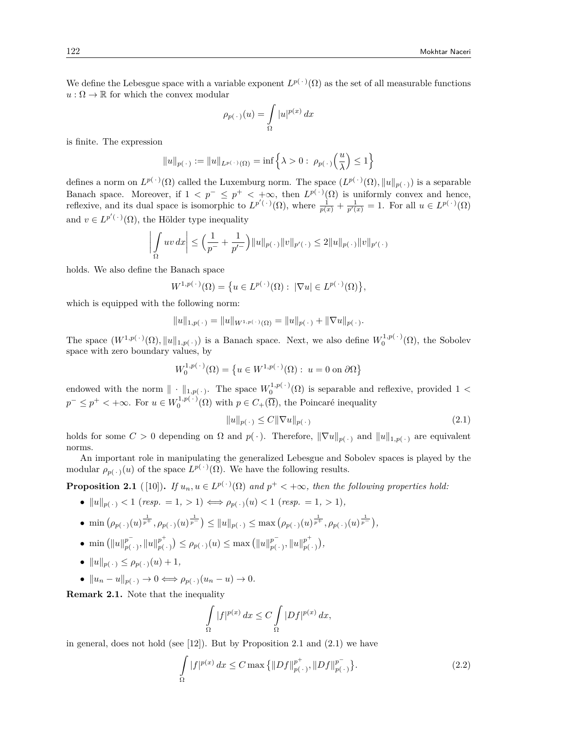We define the Lebesgue space with a variable exponent  $L^{p(\cdot)}(\Omega)$  as the set of all measurable functions  $u : \Omega \to \mathbb{R}$  for which the convex modular

$$
\rho_{p(\,\cdot\,)}(u)=\int\limits_{\Omega}|u|^{p(x)}\,dx
$$

is finite. The expression

$$
\|u\|_{p(\,\cdot\,)}:=\|u\|_{L^{p(\,\cdot\,)}(\Omega)}=\inf\left\{\lambda>0:\ \rho_{p(\,\cdot\,)}\Big(\frac{u}{\lambda}\Big)\leq 1\right\}
$$

defines a norm on  $L^{p(\cdot)}(\Omega)$  called the Luxemburg norm. The space  $(L^{p(\cdot)}(\Omega), \|u\|_{p(\cdot)})$  is a separable Banach space. Moreover, if  $1 < p^- \leq p^+ < +\infty$ , then  $L^{p(\cdot)}(\Omega)$  is uniformly convex and hence, reflexive, and its dual space is isomorphic to  $L^{p'(\cdot)}(\Omega)$ , where  $\frac{1}{p(x)} + \frac{1}{p'(x)} = 1$ . For all  $u \in L^{p(\cdot)}(\Omega)$ and  $v \in L^{p'(\cdot)}(\Omega)$ , the Hölder type inequality

$$
\left| \int_{\Omega} uv \, dx \right| \le \left( \frac{1}{p^{-}} + \frac{1}{p'^{-}} \right) ||u||_{p(\,\cdot\,)} ||v||_{p'(\,\cdot\,)} \le 2||u||_{p(\,\cdot\,)} ||v||_{p'(\,\cdot\,)}
$$

holds. We also define the Banach space

$$
W^{1,p(\cdot)}(\Omega) = \big\{ u \in L^{p(\cdot)}(\Omega) : |\nabla u| \in L^{p(\cdot)}(\Omega) \big\},\
$$

which is equipped with the following norm:

$$
||u||_{1,p(\cdot)} = ||u||_{W^{1,p(\cdot)}(\Omega)} = ||u||_{p(\cdot)} + ||\nabla u||_{p(\cdot)}.
$$

The space  $(W^{1,p(\cdot)}(\Omega), \|u\|_{1,p(\cdot)})$  is a Banach space. Next, we also define  $W_0^{1,p(\cdot)}(\Omega)$ , the Sobolev space with zero boundary values, by

$$
W_0^{1,p(\cdot)}(\Omega) = \left\{ u \in W^{1,p(\cdot)}(\Omega) : u = 0 \text{ on } \partial\Omega \right\}
$$

endowed with the norm  $\| \cdot \|_{1,p(\cdot)}$ . The space  $W_0^{1,p(\cdot)}(\Omega)$  is separable and reflexive, provided 1 < *p*<sup>−</sup> ≤ *p*<sup>+</sup> < +∞. For *u* ∈  $W_0^{1,p(·)}$ ( $\Omega$ ) with *p* ∈ *C*<sub>+</sub>( $\overline{\Omega}$ ), the Poincaré inequality

$$
||u||_{p(\cdot)} \le C||\nabla u||_{p(\cdot)}
$$
\n(2.1)

holds for some  $C > 0$  depending on  $\Omega$  and  $p(\cdot)$ . Therefore,  $\|\nabla u\|_{p(\cdot)}$  and  $\|u\|_{1,p(\cdot)}$  are equivalent norms.

An important role in manipulating the generalized Lebesgue and Sobolev spaces is played by the modular  $\rho_{p(\cdot)}(u)$  of the space  $L^{p(\cdot)}(\Omega)$ . We have the following results.

**Proposition 2.1** ([10]). If  $u_n, u \in L^{p(\cdot)}(\Omega)$  and  $p^+ < +\infty$ , then the following properties hold:

• 
$$
||u||_{p(\cdot)} < 1
$$
 (resp. = 1, > 1)  $\iff \rho_{p(\cdot)}(u) < 1$  (resp. = 1, > 1),

- $\min(\rho_{p(\cdot)}(u)^{\frac{1}{p^+}}, \rho_{p(\cdot)}(u)^{\frac{1}{p^-}}) \leq ||u||_{p(\cdot)} \leq \max(\rho_{p(\cdot)}(u)^{\frac{1}{p^+}}, \rho_{p(\cdot)}(u)^{\frac{1}{p^-}}),$
- min  $(||u||_{p}^{p^{-}})$  $p^{-}_{p(-)}, \|u\|_{p(0)}^{p^{+}}$  $p_{p(\cdot)}^{p^+}$   $\leq p_{p(\cdot)}(u) \leq \max (\|u\|_{p(\cdot)}^{p^-})$  $p^{-}_{p(\,\cdot\,)}$ ,  $\|u\|_{p(\,\cdot\,)}^{p^{+}}$  $\binom{p^+}{p(\,\cdot\,)}$
- *• ∥u∥p*( *·* ) *≤ ρp*( *·* )(*u*) + 1*,*
- $\bullet$   $||u_n u||_{p(\cdot)} \to 0 \iff \rho_{p(\cdot)}(u_n u) \to 0.$

**Remark 2.1.** Note that the inequality

$$
\int\limits_{\Omega}|f|^{p(x)}\,dx\leq C\int\limits_{\Omega}|Df|^{p(x)}\,dx,
$$

in general, does not hold (see [12]). But by Proposition 2.1 and (2.1) we have

$$
\int_{\Omega} |f|^{p(x)} dx \le C \max \{ ||Df||_{p(\cdot)}^{p^+}, ||Df||_{p(\cdot)}^{p^-} \}.
$$
\n(2.2)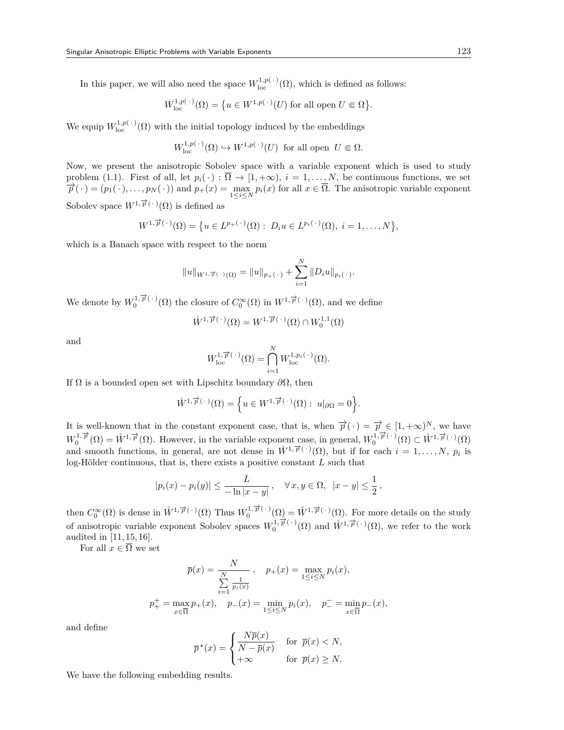In this paper, we will also need the space  $W^{1,p(\cdot)}_{\text{loc}}(\Omega)$ , which is defined as follows:

$$
W^{1,p(\,\cdot\,)}_{\rm loc}(\Omega)=\big\{u\in W^{1,p(\,\cdot\,)}(U)\text{ for all open }U\Subset\Omega\big\}.
$$

We equip  $W^{1,p(\cdot)}_{\text{loc}}(\Omega)$  with the initial topology induced by the embeddings

$$
W^{1,p(\cdot)}_{\text{loc}}(\Omega) \hookrightarrow W^{1,p(\cdot)}(U)
$$
 for all open  $U \in \Omega$ .

Now, we present the anisotropic Sobolev space with a variable exponent which is used to study problem (1.1). First of all, let  $p_i(\cdot) : \overline{\Omega} \to [1, +\infty), i = 1, \ldots, N$ , be continuous functions, we set  $\overrightarrow{p}(\cdot)=(p_1(\cdot),\ldots,p_N(\cdot))$  and  $p_+(x)=\max_{1\leq i\leq N}p_i(x)$  for all  $x\in\overline{\Omega}$ . The anisotropic variable exponent Sobolev space  $W^{1,\overrightarrow{p}(\cdot)}(\Omega)$  is defined as

$$
W^{1,\overrightarrow{p}(\cdot)}(\Omega) = \{ u \in L^{p_+(\cdot)}(\Omega) : D_i u \in L^{p_i(\cdot)}(\Omega), i = 1,\ldots,N \},\
$$

which is a Banach space with respect to the norm

$$
||u||_{W^{1,\overrightarrow{p}}(\cdot)(\Omega)} = ||u||_{p_{+}(\cdot)} + \sum_{i=1}^{N} ||D_i u||_{p_i(\cdot)}.
$$

We denote by  $W_0^{1,\overrightarrow{p}(\cdot)}(\Omega)$  the closure of  $C_0^{\infty}(\Omega)$  in  $W^{1,\overrightarrow{p}(\cdot)}(\Omega)$ , and we define

$$
\mathring{W}^{1,\overrightarrow{p}(\,\cdot\,)}(\Omega)=W^{1,\overrightarrow{p}(\,\cdot\,)}(\Omega)\cap W^{1,1}_0(\Omega)
$$

and

$$
W^{1,\overrightarrow{p}(\cdot)}_{\mathrm{loc}}(\Omega)=\bigcap_{i=1}^N W^{1,p_i(\cdot)}_{\mathrm{loc}}(\Omega).
$$

If Ω is a bounded open set with Lipschitz boundary *∂*Ω, then

$$
\mathring{W}^{1,\overrightarrow{p}(\cdot)}(\Omega) = \left\{ u \in W^{1,\overrightarrow{p}(\cdot)}(\Omega) : u|_{\partial\Omega} = 0 \right\}.
$$

It is well-known that in the constant exponent case, that is, when  $\vec{p}(\cdot) = \vec{p} \in [1, +\infty)^N$ , we have  $W_0^{1,\overrightarrow{p}}(\Omega) = \mathring{W}^{1,\overrightarrow{p}}(\Omega)$ . However, in the variable exponent case, in general,  $W_0^{1,\overrightarrow{p}(\cdot)}(\Omega) \subset \mathring{W}^{1,\overrightarrow{p}(\cdot)}(\Omega)$ and smooth functions, in general, are not dense in  $\mathring{W}^{1,\overrightarrow{p}(\cdot)}(\Omega)$ , but if for each  $i=1,\ldots,N$ ,  $p_i$  is log-Hölder continuous, that is, there exists a positive constant *L* such that

$$
|p_i(x) - p_i(y)| \le \frac{L}{-\ln|x - y|}, \quad \forall x, y \in \Omega, \ |x - y| \le \frac{1}{2},
$$

then  $C_0^{\infty}(\Omega)$  is dense in  $\mathring{W}^{1,\overrightarrow{p}(\cdot)}(\Omega)$  Thus  $W_0^{1,\overrightarrow{p}(\cdot)}(\Omega) = \mathring{W}^{1,\overrightarrow{p}(\cdot)}(\Omega)$ . For more details on the study of anisotropic variable exponent Sobolev spaces  $W_0^{1,\overrightarrow{p}(\cdot)}(\Omega)$  and  $W^{1,\overrightarrow{p}(\cdot)}(\Omega)$ , we refer to the work audited in [11,15,16].

For all  $x \in \overline{\Omega}$  we set

$$
\overline{p}(x) = \frac{N}{\sum_{i=1}^{N} \frac{1}{p_i(x)}}, \quad p_+(x) = \max_{1 \le i \le N} p_i(x),
$$
  

$$
p_+^+ = \max_{x \in \overline{\Omega}} p_+(x), \quad p_-(x) = \min_{1 \le i \le N} p_i(x), \quad p_-^- = \min_{x \in \overline{\Omega}} p_-(x),
$$

and define

$$
\overline{p}^{\star}(x) = \begin{cases} \frac{N\overline{p}(x)}{N - \overline{p}(x)} & \text{for } \overline{p}(x) < N, \\ +\infty & \text{for } \overline{p}(x) \ge N. \end{cases}
$$

We have the following embedding results.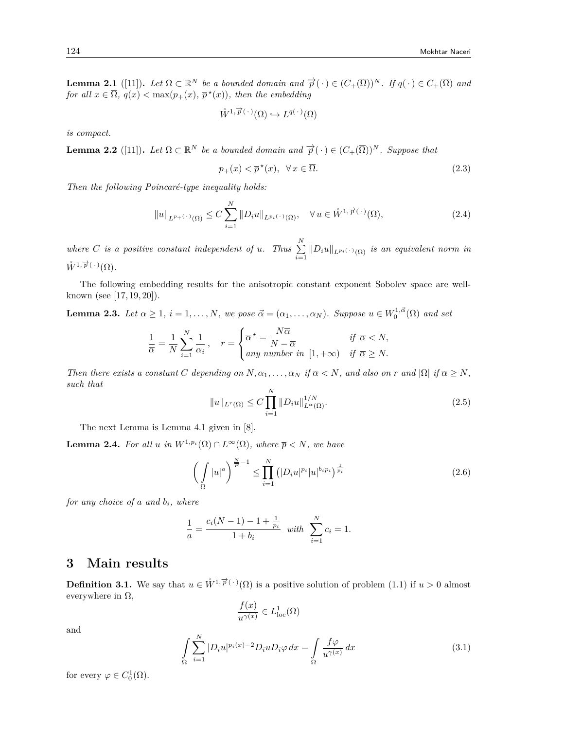**Lemma 2.1** ([11]). Let  $\Omega \subset \mathbb{R}^N$  be a bounded domain and  $\overrightarrow{p}(\cdot) \in (C_+(\overline{\Omega}))^N$ . If  $q(\cdot) \in C_+(\overline{\Omega})$  and *for all*  $x \in \overline{\Omega}$ ,  $q(x) < \max(p_+(x), p^*(x))$ , then the embedding

$$
\mathring{W}^{1,\overrightarrow{p}(\cdot)}(\Omega) \hookrightarrow L^{q(\cdot)}(\Omega)
$$

*is compact.*

**Lemma 2.2** ([11]). Let  $\Omega \subset \mathbb{R}^N$  be a bounded domain and  $\overrightarrow{p}(\cdot) \in (C_+(\overline{\Omega}))^N$ . Suppose that

$$
p_{+}(x) < \overline{p}^{\star}(x), \ \ \forall \, x \in \overline{\Omega}.\tag{2.3}
$$

*Then the following Poincaré-type inequality holds:*

$$
||u||_{L^{p_{+}(\cdot)}(\Omega)} \leq C \sum_{i=1}^{N} ||D_i u||_{L^{p_i(\cdot)}(\Omega)}, \quad \forall u \in \mathring{W}^{1,\overrightarrow{p}(\cdot)}(\Omega), \tag{2.4}
$$

*where C is a positive constant independent of <i>u*. Thus  $\sum_{n=1}^{N}$  $\sum_{i=1}^{\infty}$   $||D_i u||_{L^{p_i(\cdot)}(\Omega)}$  *is an equivalent norm in*  $\mathring{W}^{1,\overrightarrow{p}(\,\cdot\,)}(\Omega)$ .

The following embedding results for the anisotropic constant exponent Sobolev space are wellknown (see [17,19,20]).

**Lemma 2.3.** Let  $\alpha \geq 1$ ,  $i = 1, ..., N$ , we pose  $\vec{\alpha} = (\alpha_1, ..., \alpha_N)$ . Suppose  $u \in W_0^{1, \vec{\alpha}}(\Omega)$  and set

$$
\frac{1}{\overline{\alpha}} = \frac{1}{N} \sum_{i=1}^{N} \frac{1}{\alpha_i}, \quad r = \begin{cases} \overline{\alpha}^* = \frac{N\overline{\alpha}}{N - \overline{\alpha}} & \text{if } \overline{\alpha} < N, \\ \text{any number in } [1, +\infty) & \text{if } \overline{\alpha} \ge N. \end{cases}
$$

Then there exists a constant C depending on  $N, \alpha_1, \ldots, \alpha_N$  if  $\overline{\alpha} < N$ , and also on r and  $|\Omega|$  if  $\overline{\alpha} \ge N$ , *such that*

$$
||u||_{L^{r}(\Omega)} \leq C \prod_{i=1}^{N} ||D_i u||_{L^{\alpha}(\Omega)}^{1/N}.
$$
\n(2.5)

The next Lemma is Lemma 4.1 given in [8].

**Lemma 2.4.** *For all u in*  $W^{1,p_i}(\Omega) \cap L^\infty(\Omega)$ *, where*  $\overline{p} \leq N$ *, we have* 

$$
\left(\int_{\Omega} |u|^a\right)^{\frac{N}{P}-1} \leq \prod_{i=1}^{N} \left(|D_i u|^{p_i} |u|^{b_i p_i}\right)^{\frac{1}{p_i}}
$$
\n(2.6)

*for any choice of a and bi, where*

$$
\frac{1}{a} = \frac{c_i(N-1) - 1 + \frac{1}{p_i}}{1 + b_i} \quad \text{with} \quad \sum_{i=1}^{N} c_i = 1.
$$

## **3 Main results**

**Definition 3.1.** We say that  $u \in \mathring{W}^{1,\overrightarrow{p}(\cdot)}(\Omega)$  is a positive solution of problem (1.1) if  $u > 0$  almost everywhere in  $\Omega$ ,

$$
\frac{f(x)}{u^{\gamma(x)}} \in L^1_{\text{loc}}(\Omega)
$$

and

$$
\int_{\Omega} \sum_{i=1}^{N} |D_i u|^{p_i(x)-2} D_i u D_i \varphi \, dx = \int_{\Omega} \frac{f \varphi}{u^{\gamma(x)}} \, dx \tag{3.1}
$$

for every  $\varphi \in C_0^1(\Omega)$ .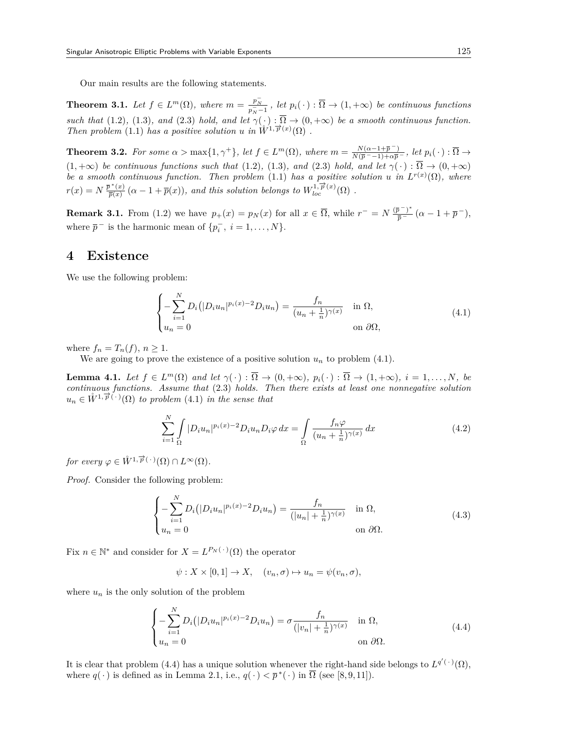Our main results are the following statements.

**Theorem 3.1.** Let  $f \in L^m(\Omega)$ , where  $m = \frac{p_N^-}{p_N^- - 1}$ , let  $p_i(\cdot) : \overline{\Omega} \to (1, +\infty)$  be continuous functions *such that* (1.2), (1.3)*, and* (2.3) *hold, and let*  $\gamma(\cdot) : \overline{\Omega} \to (0, +\infty)$  *be a smooth continuous function. Then problem*  $(1.1)$  *has a positive solution u in*  $\overset{\circ}{W}^{1,\overrightarrow{p}(x)}(\Omega)$ .

**Theorem 3.2.** For some  $\alpha > \max\{1, \gamma^+\}$ , let  $f \in L^m(\Omega)$ , where  $m = \frac{N(\alpha - 1 + \overline{p}^{-})}{N(\overline{p}^{-} - 1) + \alpha \overline{p}^{-}}$ , let  $p_i(\cdot) : \overline{\Omega} \to$  $(1, +\infty)$  *be continuous functions such that*  $(1.2)$ *,*  $(1.3)$ *, and*  $(2.3)$  *hold, and let*  $\gamma(\cdot) : \overline{\Omega} \to (0, +\infty)$ *be a smooth continuous function. Then problem* (1.1) *has a positive solution u in*  $L^{r(x)}(\Omega)$ *, where*  $r(x) = N \frac{\overline{p}^*(x)}{\overline{p}(x)}$  $\frac{p^*(x)}{\overline{p}(x)}$  ( $\alpha - 1 + \overline{p}(x)$ ), and this solution belongs to  $W^{1, \overline{p}}_{loc}(\Omega)$ .

**Remark 3.1.** From (1.2) we have  $p_+(x) = p_N(x)$  for all  $x \in \overline{\Omega}$ , while  $r^- = N \frac{(\overline{p}^-)^*}{\overline{p}^-} (\alpha - 1 + \overline{p}^-)$ , where  $\bar{p}$ <sup> $-$ </sup> is the harmonic mean of  $\{p_i^-, i = 1, \ldots, N\}$ .

### **4 Existence**

We use the following problem:

$$
\begin{cases}\n-\sum_{i=1}^{N} D_i \left( |D_i u_n|^{p_i(x)-2} D_i u_n \right) = \frac{f_n}{(u_n + \frac{1}{n})^{\gamma(x)}} & \text{in } \Omega, \\
u_n = 0 & \text{on } \partial \Omega,\n\end{cases}
$$
\n(4.1)

where  $f_n = T_n(f)$ ,  $n \geq 1$ .

We are going to prove the existence of a positive solution  $u_n$  to problem (4.1).

**Lemma 4.1.** Let  $f \in L^m(\Omega)$  and let  $\gamma(\cdot) : \overline{\Omega} \to (0, +\infty)$ ,  $p_i(\cdot) : \overline{\Omega} \to (1, +\infty)$ ,  $i = 1, ..., N$ , be *continuous functions. Assume that* (2.3) *holds. Then there exists at least one nonnegative solution*  $u_n \in \mathring{W}^{1,\overrightarrow{p}(\cdot)}(\Omega)$  *to problem* (4.1) *in the sense that* 

$$
\sum_{i=1}^{N} \int_{\Omega} |D_i u_n|^{p_i(x)-2} D_i u_n D_i \varphi \, dx = \int_{\Omega} \frac{f_n \varphi}{(u_n + \frac{1}{n})^{\gamma(x)}} \, dx \tag{4.2}
$$

*for every*  $\varphi \in \overset{\circ}{W}^{1,\overrightarrow{p}(\cdot)}(\Omega) \cap L^{\infty}(\Omega)$ *.* 

*Proof.* Consider the following problem:

$$
\begin{cases}\n-\sum_{i=1}^{N} D_i (|D_i u_n|^{p_i(x)-2} D_i u_n) = \frac{f_n}{(|u_n| + \frac{1}{n})^{\gamma(x)}} & \text{in } \Omega, \\
u_n = 0 & \text{on } \partial\Omega.\n\end{cases}
$$
\n(4.3)

Fix  $n \in \mathbb{N}^*$  and consider for  $X = L^{P_N(\cdot)}(\Omega)$  the operator

$$
\psi: X \times [0,1] \to X, \quad (v_n, \sigma) \mapsto u_n = \psi(v_n, \sigma),
$$

where  $u_n$  is the only solution of the problem

$$
\begin{cases}\n-\sum_{i=1}^{N} D_i \left( |D_i u_n|^{p_i(x)-2} D_i u_n \right) = \sigma \frac{f_n}{\left( |v_n| + \frac{1}{n} \right)^{\gamma(x)}} & \text{in } \Omega, \\
u_n = 0 & \text{on } \partial \Omega.\n\end{cases}
$$
\n(4.4)

It is clear that problem (4.4) has a unique solution whenever the right-hand side belongs to  $L^{q'(\cdot)}(\Omega)$ , where  $q(\cdot)$  is defined as in Lemma 2.1, i.e.,  $q(\cdot) < \overline{p}^*(\cdot)$  in  $\overline{\Omega}$  (see [8,9,11]).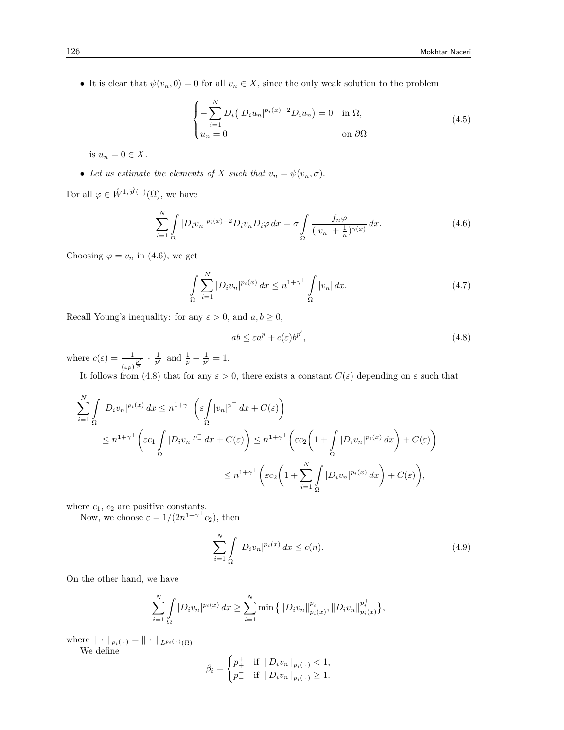• It is clear that  $\psi(v_n, 0) = 0$  for all  $v_n \in X$ , since the only weak solution to the problem

$$
\begin{cases}\n-\sum_{i=1}^{N} D_i \left( |D_i u_n|^{p_i(x)-2} D_i u_n \right) = 0 & \text{in } \Omega, \\
u_n = 0 & \text{on } \partial \Omega\n\end{cases}
$$
\n(4.5)

is  $u_n = 0 \in X$ .

• Let us estimate the elements of *X* such that  $v_n = \psi(v_n, \sigma)$ .

For all  $\varphi \in \overset{\circ}{W}^{1,\overrightarrow{p}(\cdot)}(\Omega)$ , we have

$$
\sum_{i=1}^{N} \int_{\Omega} |D_i v_n|^{p_i(x)-2} D_i v_n D_i \varphi \, dx = \sigma \int_{\Omega} \frac{f_n \varphi}{(|v_n| + \frac{1}{n})^{\gamma(x)}} \, dx. \tag{4.6}
$$

Choosing  $\varphi = v_n$  in (4.6), we get

$$
\int_{\Omega} \sum_{i=1}^{N} |D_i v_n|^{p_i(x)} dx \le n^{1+\gamma^+} \int_{\Omega} |v_n| dx.
$$
\n(4.7)

Recall Young's inequality: for any  $\varepsilon > 0$ , and  $a, b \ge 0$ ,

$$
ab \le \varepsilon a^p + c(\varepsilon) b^{p'},\tag{4.8}
$$

where  $c(\varepsilon) = \frac{1}{\sqrt{\varepsilon}}$  $\frac{1}{(ep)^{\frac{p'}{p}}} \cdot \frac{1}{p'}$  and  $\frac{1}{p} + \frac{1}{p'} = 1$ .

It follows from (4.8) that for any  $\varepsilon > 0$ , there exists a constant  $C(\varepsilon)$  depending on  $\varepsilon$  such that

$$
\sum_{i=1}^{N} \int_{\Omega} |D_i v_n|^{p_i(x)} dx \le n^{1+\gamma^+} \left( \varepsilon \int_{\Omega} |v_n|^{p_-^-} dx + C(\varepsilon) \right)
$$
\n
$$
\le n^{1+\gamma^+} \left( \varepsilon c_1 \int_{\Omega} |D_i v_n|^{p_-^-} dx + C(\varepsilon) \right) \le n^{1+\gamma^+} \left( \varepsilon c_2 \left( 1 + \int_{\Omega} |D_i v_n|^{p_i(x)} dx \right) + C(\varepsilon) \right)
$$
\n
$$
\le n^{1+\gamma^+} \left( \varepsilon c_2 \left( 1 + \sum_{i=1}^{N} \int_{\Omega} |D_i v_n|^{p_i(x)} dx \right) + C(\varepsilon) \right),
$$

where  $c_1$ ,  $c_2$  are positive constants.

Now, we choose  $\varepsilon = 1/(2n^{1+\gamma^+}c_2)$ , then

$$
\sum_{i=1}^{N} \int_{\Omega} |D_i v_n|^{p_i(x)} dx \le c(n). \tag{4.9}
$$

On the other hand, we have

$$
\sum_{i=1}^N \int_{\Omega} |D_i v_n|^{p_i(x)} dx \geq \sum_{i=1}^N \min \{ ||D_i v_n||_{p_i(x)}^{p_i^-}, ||D_i v_n||_{p_i(x)}^{p_i^+} \},\
$$

 $\text{where } \| \cdot \|_{p_i(\cdot)} = \| \cdot \|_{L^{p_i(\cdot)}(\Omega)}.$ We define

$$
\beta_i = \begin{cases} p^+_+ & \text{if } \|D_i v_n\|_{p_i(\,\cdot\,)} < 1, \\ p^-_- & \text{if } \|D_i v_n\|_{p_i(\,\cdot\,)} \geq 1. \end{cases}
$$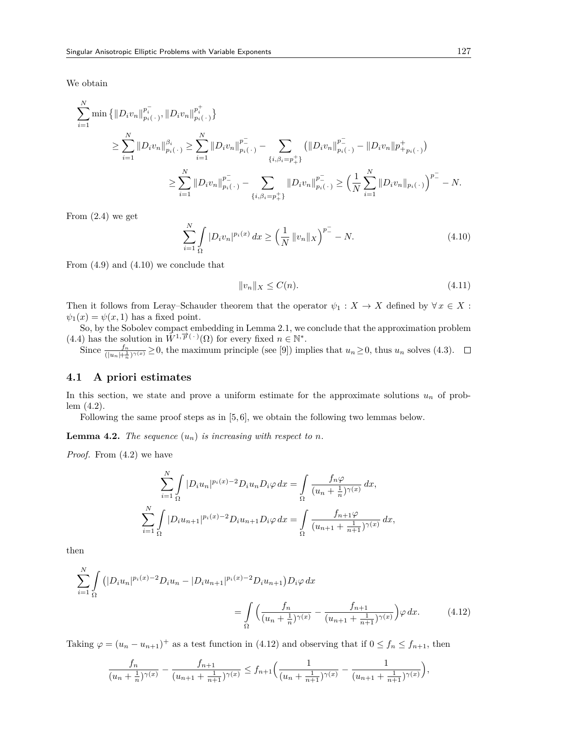We obtain

$$
\sum_{i=1}^{N} \min \left\{ \left\| D_i v_n \right\|_{p_i(\cdot)}^{p_i^-}, \left\| D_i v_n \right\|_{p_i(\cdot)}^{p_i^+} \right\}
$$
\n
$$
\geq \sum_{i=1}^{N} \left\| D_i v_n \right\|_{p_i(\cdot)}^{\beta_i} \geq \sum_{i=1}^{N} \left\| D_i v_n \right\|_{p_i(\cdot)}^{p_i^-} - \sum_{\{i, \beta_i = p_+^+\}} \left( \left\| D_i v_n \right\|_{p_i(\cdot)}^{p_-^-} - \left\| D_i v_n \right\|_{p_{i(\cdot)}}^{p_+^+} \right)
$$
\n
$$
\geq \sum_{i=1}^{N} \left\| D_i v_n \right\|_{p_i(\cdot)}^{p_-^-} - \sum_{\{i, \beta_i = p_+^+\}} \left\| D_i v_n \right\|_{p_i(\cdot)}^{p_-^-} \geq \left( \frac{1}{N} \sum_{i=1}^{N} \left\| D_i v_n \right\|_{p_i(\cdot)} \right)^{p_-^-} - N.
$$

From (2.4) we get

$$
\sum_{i=1}^{N} \int_{\Omega} |D_i v_n|^{p_i(x)} dx \ge \left(\frac{1}{N} ||v_n||_X\right)^{p_-^-} - N. \tag{4.10}
$$

From (4.9) and (4.10) we conclude that

$$
||v_n||_X \le C(n). \tag{4.11}
$$

Then it follows from Leray–Schauder theorem that the operator  $\psi_1 : X \to X$  defined by  $\forall x \in X$ :  $\psi_1(x) = \psi(x, 1)$  has a fixed point.

So, by the Sobolev compact embedding in Lemma 2.1, we conclude that the approximation problem  $(4.4)$  has the solution in  $\mathring{W}^{1,\overrightarrow{p}(\cdot)}(\Omega)$  for every fixed  $n \in \mathbb{N}^*$ .

Since  $\frac{f_n}{(\vert u_n \vert + \frac{1}{n})^{\gamma(x)}} \geq 0$ , the maximum principle (see [9]) implies that  $u_n \geq 0$ , thus  $u_n$  solves (4.3).

### **4.1 A priori estimates**

In this section, we state and prove a uniform estimate for the approximate solutions  $u_n$  of problem (4.2).

Following the same proof steps as in [5,6], we obtain the following two lemmas below.

**Lemma 4.2.** *The sequence*  $(u_n)$  *is increasing with respect to n.* 

*Proof.* From (4.2) we have

$$
\sum_{i=1}^{N} \int_{\Omega} |D_i u_n|^{p_i(x)-2} D_i u_n D_i \varphi \, dx = \int_{\Omega} \frac{f_n \varphi}{(u_n + \frac{1}{n})^{\gamma(x)}} \, dx,
$$
  

$$
\sum_{i=1}^{N} \int_{\Omega} |D_i u_{n+1}|^{p_i(x)-2} D_i u_{n+1} D_i \varphi \, dx = \int_{\Omega} \frac{f_{n+1} \varphi}{(u_{n+1} + \frac{1}{n+1})^{\gamma(x)}} \, dx,
$$

then

$$
\sum_{i=1}^{N} \int_{\Omega} \left( |D_i u_n|^{p_i(x)-2} D_i u_n - |D_i u_{n+1}|^{p_i(x)-2} D_i u_{n+1} \right) D_i \varphi \, dx
$$
\n
$$
= \int_{\Omega} \left( \frac{f_n}{(u_n + \frac{1}{n})^{\gamma(x)}} - \frac{f_{n+1}}{(u_{n+1} + \frac{1}{n+1})^{\gamma(x)}} \right) \varphi \, dx. \tag{4.12}
$$

Taking  $\varphi = (u_n - u_{n+1})^+$  as a test function in (4.12) and observing that if  $0 \le f_n \le f_{n+1}$ , then

$$
\frac{f_n}{(u_n+\frac{1}{n})^{\gamma(x)}}-\frac{f_{n+1}}{(u_{n+1}+\frac{1}{n+1})^{\gamma(x)}}\leq f_{n+1}\Big(\frac{1}{(u_n+\frac{1}{n+1})^{\gamma(x)}}-\frac{1}{(u_{n+1}+\frac{1}{n+1})^{\gamma(x)}}\Big),
$$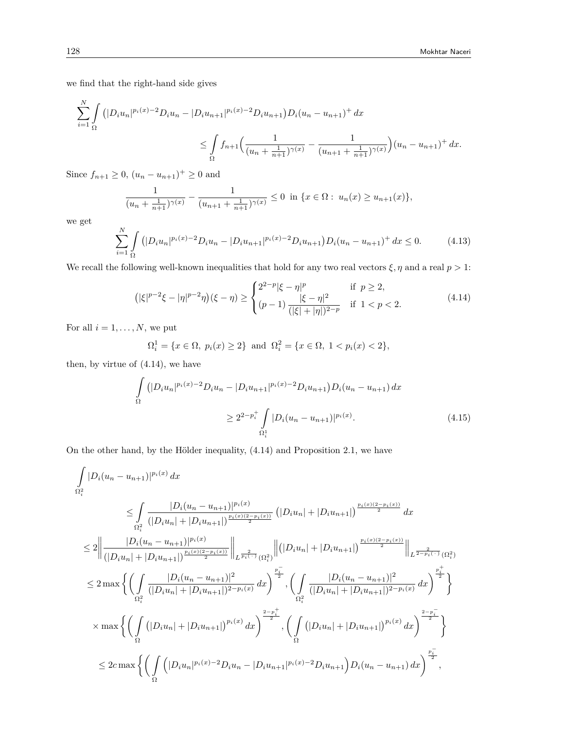we find that the right-hand side gives

$$
\sum_{i=1}^{N} \int_{\Omega} \left( |D_i u_n|^{p_i(x)-2} D_i u_n - |D_i u_{n+1}|^{p_i(x)-2} D_i u_{n+1} \right) D_i (u_n - u_{n+1})^+ dx
$$
  

$$
\leq \int_{\Omega} f_{n+1} \Big( \frac{1}{(u_n + \frac{1}{n+1})^{\gamma(x)}} - \frac{1}{(u_{n+1} + \frac{1}{n+1})^{\gamma(x)}} \Big) (u_n - u_{n+1})^+ dx.
$$

Since  $f_{n+1} \geq 0$ ,  $(u_n - u_{n+1})^+ \geq 0$  and

$$
\frac{1}{(u_n + \frac{1}{n+1})^{\gamma(x)}} - \frac{1}{(u_{n+1} + \frac{1}{n+1})^{\gamma(x)}} \le 0 \quad \text{in } \{x \in \Omega : u_n(x) \ge u_{n+1}(x)\},
$$

we get

$$
\sum_{i=1}^{N} \int_{\Omega} \left( |D_i u_n|^{p_i(x)-2} D_i u_n - |D_i u_{n+1}|^{p_i(x)-2} D_i u_{n+1} \right) D_i (u_n - u_{n+1})^+ dx \le 0. \tag{4.13}
$$

We recall the following well-known inequalities that hold for any two real vectors  $\xi, \eta$  and a real  $p > 1$ :

$$
(|\xi|^{p-2}\xi - |\eta|^{p-2}\eta)(\xi - \eta) \ge \begin{cases} 2^{2-p}|\xi - \eta|^p & \text{if } p \ge 2, \\ (p-1) \frac{|\xi - \eta|^2}{(|\xi| + |\eta|)^{2-p}} & \text{if } 1 < p < 2. \end{cases}
$$
(4.14)

For all  $i = 1, \ldots, N$ , we put

$$
\Omega_i^1 = \{ x \in \Omega, \ p_i(x) \ge 2 \} \ \text{and} \ \Omega_i^2 = \{ x \in \Omega, \ 1 < p_i(x) < 2 \},
$$

then, by virtue of (4.14), we have

$$
\int_{\Omega} (|D_i u_n|^{p_i(x)-2} D_i u_n - |D_i u_{n+1}|^{p_i(x)-2} D_i u_{n+1}) D_i (u_n - u_{n+1}) dx
$$
\n
$$
\geq 2^{2-p_i^+} \int_{\Omega_i^1} |D_i (u_n - u_{n+1})|^{p_i(x)}.
$$
\n(4.15)

On the other hand, by the Hölder inequality, (4.14) and Proposition 2.1, we have

$$
\int_{\Omega_{i}^{2}} |D_{i}(u_{n} - u_{n+1})|^{p_{i}(x)} dx
$$
\n
$$
\leq \int_{\Omega_{i}^{2}} \frac{|D_{i}(u_{n} - u_{n+1})|^{p_{i}(x)}}{(|D_{i}u_{n}| + |D_{i}u_{n+1}|)} \int_{\Omega_{i}^{2}} (|D_{i}u_{n}| + |D_{i}u_{n+1}|)^{\frac{p_{i}(x)(2 - p_{i}(x))}{2}} dx
$$
\n
$$
\leq 2 \Big\| \frac{|D_{i}(u_{n} - u_{n+1})|^{p_{i}(x)}}{(|D_{i}u_{n}| + |D_{i}u_{n+1}|)^{\frac{p_{i}(x)(2 - p_{i}(x))}{2}}}\Big\|_{L^{\frac{2}{p_{i}(-)}}(\Omega_{i}^{2})} \Big\| \Big(|D_{i}u_{n}| + |D_{i}u_{n+1}|)^{\frac{p_{i}(x)(2 - p_{i}(x))}{2}}\Big\|_{L^{\frac{2}{2-p_{i}(-)}}(\Omega_{i}^{2})}
$$
\n
$$
\leq 2 \max \Big\{ \Big( \int_{\Omega_{i}^{2}} \frac{|D_{i}(u_{n} - u_{n+1})|^{2}}{(|D_{i}u_{n}| + |D_{i}u_{n+1}|)^{2-p_{i}(x)}} dx \Big)^{\frac{p_{i}^{-}}{2}}, \Big( \int_{\Omega_{i}^{2}} \frac{|D_{i}(u_{n} - u_{n+1})|^{2}}{(|D_{i}u_{n}| + |D_{i}u_{n+1}|)^{2-p_{i}(x)}} dx \Big)^{\frac{p_{i}^{+}}{2}} \Big\}
$$
\n
$$
\times \max \Big\{ \Big( \int_{\Omega} (|D_{i}u_{n}| + |D_{i}u_{n+1}|)^{p_{i}(x)} dx \Big)^{\frac{2-p_{i}^{+}}{2}}, \Big( \int_{\Omega} (|D_{i}u_{n}| + |D_{i}u_{n+1}|)^{p_{i}(x)} dx \Big)^{\frac{2-p_{i}^{-}}{2}} \Big\}
$$
\n
$$
\leq 2 c \max \Big\{ \Big( \int_{\Omega} (|D_{i}u_{n}|^{p_{i}(x)-2}D_{i}u_{n}-|D_{i}u_{n+1}|^{p_{i}(x)-2}D_{i}u_{n+
$$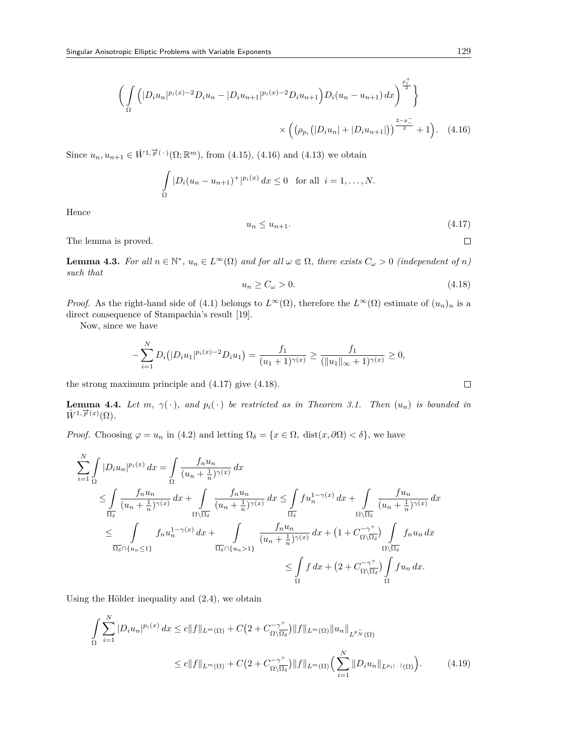$$
\left(\int_{\Omega} \left( |D_i u_n|^{p_i(x)-2} D_i u_n - |D_i u_{n+1}|^{p_i(x)-2} D_i u_{n+1} \right) D_i (u_n - u_{n+1}) \, dx \right)^{\frac{p_i^+}{2}} \right\}
$$

$$
\times \left( \left( \rho_{p_i} (|D_i u_n| + |D_i u_{n+1}|) \right)^{\frac{2-p^-}{2}} + 1 \right). \tag{4.16}
$$

Since  $u_n, u_{n+1} \in \mathring{W}^{1, \overrightarrow{p}(\cdot)}(\Omega; \mathbb{R}^m)$ , from (4.15), (4.16) and (4.13) we obtain

$$
\int_{\Omega} |D_i(u_n - u_{n+1})^+|^{p_i(x)} dx \le 0 \text{ for all } i = 1, ..., N.
$$

Hence

$$
u_n \le u_{n+1}.\tag{4.17}
$$

The lemma is proved.

**Lemma 4.3.** For all  $n \in \mathbb{N}^*$ ,  $u_n \in L^{\infty}(\Omega)$  and for all  $\omega \in \Omega$ , there exists  $C_{\omega} > 0$  (independent of n) *such that*

$$
u_n \ge C_\omega > 0. \tag{4.18}
$$

*Proof.* As the right-hand side of (4.1) belongs to  $L^{\infty}(\Omega)$ , therefore the  $L^{\infty}(\Omega)$  estimate of  $(u_n)_n$  is a direct consequence of Stampachia's result [19].

Now, since we have

$$
-\sum_{i=1}^N D_i(|D_i u_1|^{p_i(x)-2}D_i u_1) = \frac{f_1}{(u_1+1)^{\gamma(x)}} \ge \frac{f_1}{(\|u_1\|_{\infty}+1)^{\gamma(x)}} \ge 0,
$$

the strong maximum principle and (4.17) give (4.18).

**Lemma 4.4.** Let  $m$ ,  $\gamma(\cdot)$ , and  $p_i(\cdot)$  be restricted as in Theorem 3.1. Then  $(u_n)$  is bounded in  $\mathring{W}^{1,\overrightarrow{p}(x)}(\Omega)$ .

*Proof.* Choosing  $\varphi = u_n$  in (4.2) and letting  $\Omega_{\delta} = \{x \in \Omega, \text{ dist}(x, \partial \Omega) < \delta\}$ , we have

$$
\sum_{i=1}^{N} \int_{\Omega} |D_i u_n|^{p_i(x)} dx = \int_{\Omega} \frac{f_n u_n}{(u_n + \frac{1}{n})^{\gamma(x)}} dx
$$
\n
$$
\leq \int_{\frac{\overline{\Omega}_{\delta}}{\Omega_{\delta}}} \frac{f_n u_n}{(u_n + \frac{1}{n})^{\gamma(x)}} dx + \int_{\Omega \setminus \overline{\Omega}_{\delta}} \frac{f_n u_n}{(u_n + \frac{1}{n})^{\gamma(x)}} dx \leq \int_{\frac{\overline{\Omega}_{\delta}}{\Omega_{\delta}}} f u_n^{1 - \gamma(x)} dx + \int_{\Omega \setminus \overline{\Omega}_{\delta}} \frac{f u_n}{(u_n + \frac{1}{n})^{\gamma(x)}} dx
$$
\n
$$
\leq \int_{\overline{\Omega}_{\delta} \cap \{u_n \leq 1\}} f_n u_n^{1 - \gamma(x)} dx + \int_{\overline{\Omega}_{\delta} \cap \{u_n > 1\}} \frac{f_n u_n}{(u_n + \frac{1}{n})^{\gamma(x)}} dx + (1 + C_{\Omega \setminus \overline{\Omega}_{\delta}})^{\gamma(x)} \int_{\Omega \setminus \overline{\Omega}_{\delta}} f_n u_n dx
$$
\n
$$
\leq \int_{\Omega} f dx + (2 + C_{\Omega \setminus \overline{\Omega}_{\delta}}^{\gamma(x)} \int_{\Omega} f u_n dx.
$$

Using the Hölder inequality and (2.4), we obtain

$$
\int_{\Omega} \sum_{i=1}^{N} |D_i u_n|^{p_i(x)} dx \le c \|f\|_{L^m(\Omega)} + C \big( 2 + C_{\Omega \setminus \overline{\Omega_{\delta}}}^{-\gamma^{+}} \big) \|f\|_{L^m(\Omega)} \|u_n\|_{L^{p_{N}^{-}}(\Omega)}
$$
\n
$$
\le c \|f\|_{L^m(\Omega)} + C \big( 2 + C_{\Omega \setminus \overline{\Omega_{\delta}}}^{-\gamma^{+}} \big) \|f\|_{L^m(\Omega)} \Big( \sum_{i=1}^{N} \|D_i u_n\|_{L^{p_i(\cdot)}(\Omega)} \Big). \tag{4.19}
$$

$$
\qquad \qquad \Box
$$

 $\Box$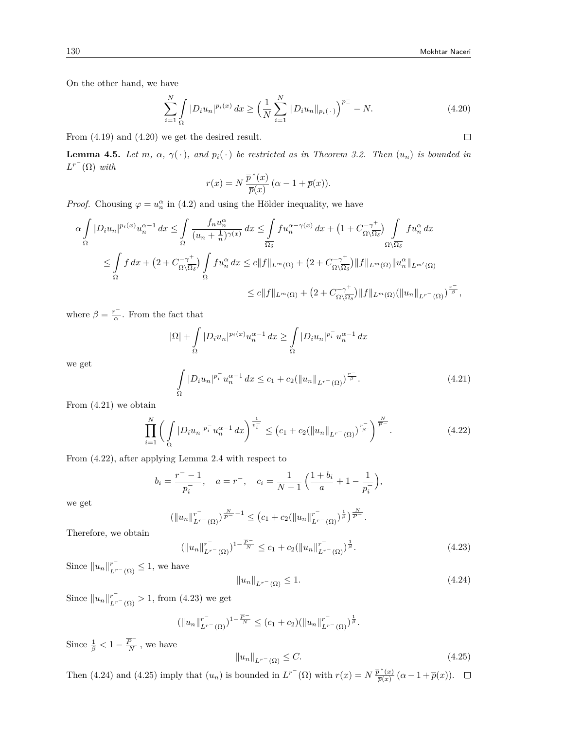On the other hand, we have

$$
\sum_{i=1}^{N} \int_{\Omega} |D_i u_n|^{p_i(x)} dx \ge \left(\frac{1}{N} \sum_{i=1}^{N} \|D_i u_n\|_{p_i(\cdot)}\right)^{p_-^{-}} - N. \tag{4.20}
$$

From (4.19) and (4.20) we get the desired result.

**Lemma 4.5.** *Let m*,  $\alpha$ ,  $\gamma(\cdot)$ *, and*  $p_i(\cdot)$  *be restricted as in Theorem 3.2. Then*  $(u_n)$  *is bounded in*  $L^{r^-}(\Omega)$  *with* 

$$
r(x) = N \frac{\overline{p}^*(x)}{\overline{p}(x)} (\alpha - 1 + \overline{p}(x)).
$$

*Proof.* Chousing  $\varphi = u_n^{\alpha}$  in (4.2) and using the Hölder inequality, we have

$$
\alpha \int_{\Omega} |D_i u_n|^{p_i(x)} u_n^{\alpha - 1} dx \le \int_{\Omega} \frac{f_n u_n^{\alpha}}{(u_n + \frac{1}{n})^{\gamma(x)}} dx \le \int_{\overline{\Omega_{\delta}}} f u_n^{\alpha - \gamma(x)} dx + \left(1 + C_{\Omega \setminus \overline{\Omega_{\delta}}}^{-\gamma +} \right) \int_{\Omega \setminus \overline{\Omega_{\delta}}} f u_n^{\alpha} dx
$$
  

$$
\le \int_{\Omega} f dx + \left(2 + C_{\Omega \setminus \overline{\Omega_{\delta}}}^{-\gamma +} \right) \int_{\Omega} f u_n^{\alpha} dx \le c \|f\|_{L^m(\Omega)} + \left(2 + C_{\Omega \setminus \overline{\Omega_{\delta}}}^{-\gamma +} \right) \|f\|_{L^m(\Omega)} \|u_n^{\alpha}\|_{L^{m'}(\Omega)}
$$
  

$$
\le c \|f\|_{L^m(\Omega)} + \left(2 + C_{\Omega \setminus \overline{\Omega_{\delta}}}^{-\gamma +} \right) \|f\|_{L^m(\Omega)} (\|u_n\|_{L^{r-}(\Omega)})^{\frac{r}{\beta}},
$$

where  $\beta = \frac{r^-}{\alpha}$ . From the fact that

$$
|\Omega| + \int_{\Omega} |D_i u_n|^{p_i(x)} u_n^{\alpha - 1} dx \ge \int_{\Omega} |D_i u_n|^{p_i^{-}} u_n^{\alpha - 1} dx
$$

we get

$$
\int_{\Omega} |D_i u_n|^{p_i^-} u_n^{\alpha - 1} dx \le c_1 + c_2 (\|u_n\|_{L^{r^-}(\Omega)})^{\frac{r^-}{\beta}}.
$$
\n(4.21)

From (4.21) we obtain

$$
\prod_{i=1}^{N} \left( \int_{\Omega} |D_i u_n|^{p_i^-} u_n^{\alpha-1} dx \right)^{\frac{1}{p_i^-}} \le (c_1 + c_2 (\|u_n\|_{L^{r}(\Omega)})^{\frac{r}{\beta}})^{\frac{N}{\overline{\beta}}}.
$$
\n(4.22)

From (4.22), after applying Lemma 2.4 with respect to

$$
b_i = \frac{r^- - 1}{p_i^-}
$$
,  $a = r^-$ ,  $c_i = \frac{1}{N - 1} \left( \frac{1 + b_i}{a} + 1 - \frac{1}{p_i^-} \right)$ ,

we get

$$
\left(\|u_n\|_{L^{r^-}(\Omega)}^{r^-}\right)^{\frac{N}{\overline{P}^-}-1} \leq \left(c_1+c_2(\|u_n\|_{L^{r^-}(\Omega)}^{r^-}\right)^{\frac{1}{\beta}})^{\frac{N}{\overline{P}^-}}.
$$

Therefore, we obtain

$$
(\|u_n\|_{L^{r-}(\Omega)}^{r^-})^{1-\frac{\overline{P}^{-}}{N}} \le c_1 + c_2 (\|u_n\|_{L^{r^-}(\Omega)}^{r^-})^{\frac{1}{\beta}}.
$$
\n(4.23)

Since  $||u_n||_{L^{r-}(\Omega)}^{r^-} \leq 1$ , we have

$$
||u_n||_{L^{r^{-}}(\Omega)} \le 1.
$$
\n(4.24)

Since  $||u_n||_{L^{r-}(\Omega)}^{r^-} > 1$ , from (4.23) we get

$$
(\|u_n\|_{L^{r^{-}}(\Omega)}^{r^{-}})^{1-\frac{\overline{P}^{-}}{N}} \leq (c_1+c_2)(\|u_n\|_{L^{r^{-}}(\Omega)}^{r^{-}})^{\frac{1}{\beta}}.
$$

Since  $\frac{1}{\beta} < 1 - \frac{\overline{P}^{-}}{N}$  $\frac{\rho}{N}$ , we have

$$
||u_n||_{L^{r^{-}}(\Omega)} \leq C. \tag{4.25}
$$

Then (4.24) and (4.25) imply that  $(u_n)$  is bounded in  $L^{r^-}(\Omega)$  with  $r(x) = N \frac{\bar{p}^*(x)}{\bar{p}(x)}$  $\frac{\partial^2 f(x)}{\partial p(x)}$   $(\alpha - 1 + \overline{p}(x)).$ 

 $\Box$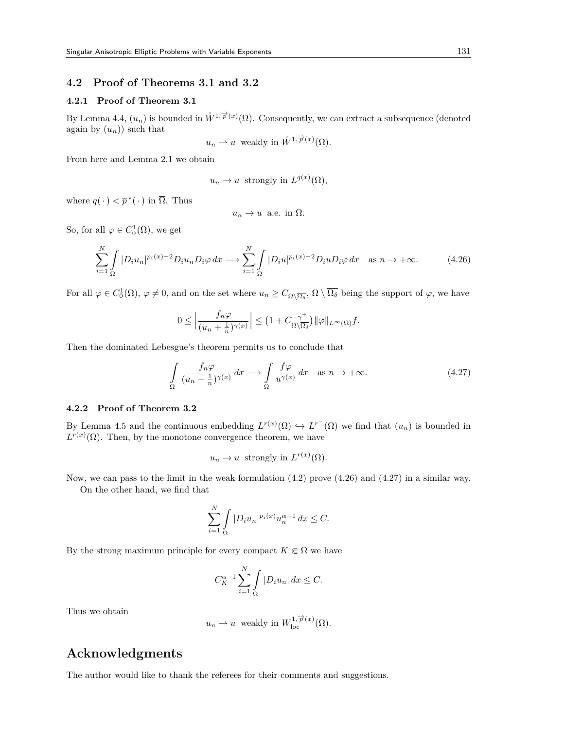### **4.2 Proof of Theorems 3.1 and 3.2**

#### **4.2.1 Proof of Theorem 3.1**

By Lemma 4.4,  $(u_n)$  is bounded in  $\mathring{W}^{1,\overrightarrow{p}(x)}(\Omega)$ . Consequently, we can extract a subsequence (denoted again by  $(u_n)$  such that

$$
u_n \rightharpoonup u
$$
 weakly in  $\mathring{W}^{1,\overrightarrow{p}(x)}(\Omega)$ .

From here and Lemma 2.1 we obtain

$$
u_n \to u
$$
 strongly in  $L^{q(x)}(\Omega)$ ,

where  $q(\cdot) < \overline{p}^*(\cdot)$  in  $\overline{\Omega}$ . Thus

$$
u_n \to u \text{ a.e. in } \Omega.
$$

So, for all  $\varphi \in C_0^1(\Omega)$ , we get

$$
\sum_{i=1}^{N} \int_{\Omega} |D_i u_n|^{p_i(x)-2} D_i u_n D_i \varphi \, dx \longrightarrow \sum_{i=1}^{N} \int_{\Omega} |D_i u|^{p_i(x)-2} D_i u D_i \varphi \, dx \quad \text{as } n \to +\infty. \tag{4.26}
$$

For all  $\varphi \in C_0^1(\Omega)$ ,  $\varphi \neq 0$ , and on the set where  $u_n \geq C_{\Omega \setminus \overline{\Omega_\delta}}$ ,  $\Omega \setminus \overline{\Omega_\delta}$  being the support of  $\varphi$ , we have

$$
0 \le \left| \frac{f_n \varphi}{(u_n + \frac{1}{n})^{\gamma(x)}} \right| \le \left( 1 + C_{\Omega \setminus \overline{\Omega_{\delta}}}^{-\gamma^{+}} \right) ||\varphi||_{L^{\infty}(\Omega)} f.
$$

Then the dominated Lebesgue's theorem permits us to conclude that

$$
\int_{\Omega} \frac{f_n \varphi}{(u_n + \frac{1}{n})^{\gamma(x)}} dx \longrightarrow \int_{\Omega} \frac{f \varphi}{u^{\gamma(x)}} dx \quad \text{as } n \to +\infty.
$$
 (4.27)

#### **4.2.2 Proof of Theorem 3.2**

By Lemma 4.5 and the continuous embedding  $L^{r(x)}(\Omega) \hookrightarrow L^{r^{-}}(\Omega)$  we find that  $(u_n)$  is bounded in  $L^{r(x)}(\Omega)$ . Then, by the monotone convergence theorem, we have

$$
u_n \to u
$$
 strongly in  $L^{r(x)}(\Omega)$ .

Now, we can pass to the limit in the weak formulation  $(4.2)$  prove  $(4.26)$  and  $(4.27)$  in a similar way. On the other hand, we find that

$$
\sum_{i=1}^{N} \int_{\Omega} |D_i u_n|^{p_i(x)} u_n^{\alpha-1} dx \leq C.
$$

By the strong maximum principle for every compact  $K \in \Omega$  we have

$$
C_K^{\alpha-1}\sum_{i=1}^N\int\limits_{\Omega}|D_iu_n|\,dx\leq C.
$$

Thus we obtain

$$
u_n \rightharpoonup u
$$
 weakly in  $W^{1,\overrightarrow{p}(x)}_{\text{loc}}(\Omega)$ .

# **Acknowledgments**

The author would like to thank the referees for their comments and suggestions.